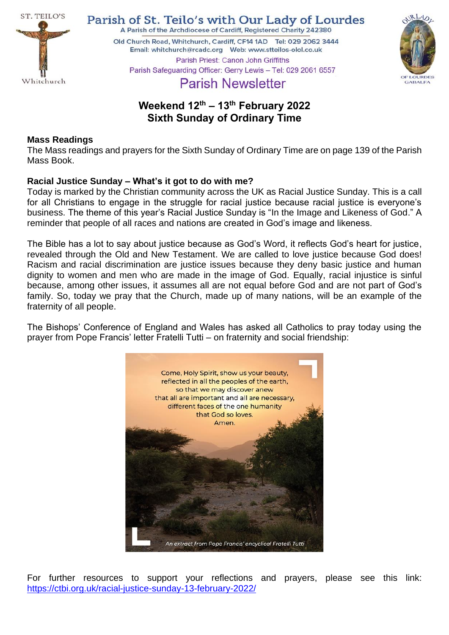

Parish of St. Teilo's with Our Lady of Lourdes A Parish of the Archdiocese of Cardiff, Registered Charity 242380

Old Church Road, Whitchurch, Cardiff, CF14 1AD Tel: 029 2062 3444 



Parish Priest: Canon John Griffiths Parish Safeguarding Officer: Gerry Lewis - Tel: 029 2061 6557

# **Parish Newsletter**

## **Weekend 12th – 13th February 2022 Sixth Sunday of Ordinary Time**

## **Mass Readings**

The Mass readings and prayers for the Sixth Sunday of Ordinary Time are on page 139 of the Parish Mass Book.

## **Racial Justice Sunday – What's it got to do with me?**

Today is marked by the Christian community across the UK as Racial Justice Sunday. This is a call for all Christians to engage in the struggle for racial justice because racial justice is everyone's business. The theme of this year's Racial Justice Sunday is "In the Image and Likeness of God." A reminder that people of all races and nations are created in God's image and likeness.

The Bible has a lot to say about justice because as God's Word, it reflects God's heart for justice, revealed through the Old and New Testament. We are called to love justice because God does! Racism and racial discrimination are justice issues because they deny basic justice and human dignity to women and men who are made in the image of God. Equally, racial injustice is sinful because, among other issues, it assumes all are not equal before God and are not part of God's family. So, today we pray that the Church, made up of many nations, will be an example of the fraternity of all people.

The Bishops' Conference of England and Wales has asked all Catholics to pray today using the prayer from Pope Francis' letter Fratelli Tutti – on fraternity and social friendship:



For further resources to support your reflections and prayers, please see this link: <https://ctbi.org.uk/racial-justice-sunday-13-february-2022/>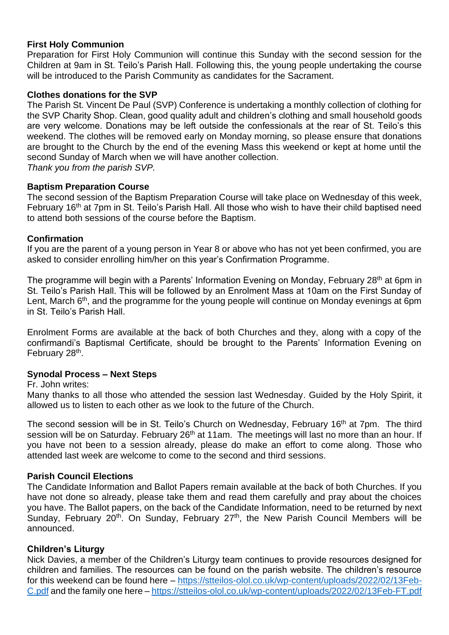## **First Holy Communion**

Preparation for First Holy Communion will continue this Sunday with the second session for the Children at 9am in St. Teilo's Parish Hall. Following this, the young people undertaking the course will be introduced to the Parish Community as candidates for the Sacrament.

#### **Clothes donations for the SVP**

The Parish St. Vincent De Paul (SVP) Conference is undertaking a monthly collection of clothing for the SVP Charity Shop. Clean, good quality adult and children's clothing and small household goods are very welcome. Donations may be left outside the confessionals at the rear of St. Teilo's this weekend. The clothes will be removed early on Monday morning, so please ensure that donations are brought to the Church by the end of the evening Mass this weekend or kept at home until the second Sunday of March when we will have another collection.

*Thank you from the parish SVP.*

#### **Baptism Preparation Course**

The second session of the Baptism Preparation Course will take place on Wednesday of this week, February 16<sup>th</sup> at 7pm in St. Teilo's Parish Hall. All those who wish to have their child baptised need to attend both sessions of the course before the Baptism.

#### **Confirmation**

If you are the parent of a young person in Year 8 or above who has not yet been confirmed, you are asked to consider enrolling him/her on this year's Confirmation Programme.

The programme will begin with a Parents' Information Evening on Monday, February 28<sup>th</sup> at 6pm in St. Teilo's Parish Hall. This will be followed by an Enrolment Mass at 10am on the First Sunday of Lent, March 6<sup>th</sup>, and the programme for the young people will continue on Monday evenings at 6pm in St. Teilo's Parish Hall.

Enrolment Forms are available at the back of both Churches and they, along with a copy of the confirmandi's Baptismal Certificate, should be brought to the Parents' Information Evening on February 28<sup>th</sup>.

#### **Synodal Process – Next Steps**

Fr. John writes:

Many thanks to all those who attended the session last Wednesday. Guided by the Holy Spirit, it allowed us to listen to each other as we look to the future of the Church.

The second session will be in St. Teilo's Church on Wednesday, February 16<sup>th</sup> at 7pm. The third session will be on Saturday. February 26<sup>th</sup> at 11am. The meetings will last no more than an hour. If you have not been to a session already, please do make an effort to come along. Those who attended last week are welcome to come to the second and third sessions.

## **Parish Council Elections**

The Candidate Information and Ballot Papers remain available at the back of both Churches. If you have not done so already, please take them and read them carefully and pray about the choices you have. The Ballot papers, on the back of the Candidate Information, need to be returned by next Sunday, February  $20<sup>th</sup>$ . On Sunday, February  $27<sup>th</sup>$ , the New Parish Council Members will be announced.

#### **Children's Liturgy**

Nick Davies, a member of the Children's Liturgy team continues to provide resources designed for children and families. The resources can be found on the parish website. The children's resource for this weekend can be found here – [https://stteilos-olol.co.uk/wp-content/uploads/2022/02/13Feb-](https://stteilos-olol.co.uk/wp-content/uploads/2022/02/13Feb-C.pdf)[C.pdf](https://stteilos-olol.co.uk/wp-content/uploads/2022/02/13Feb-C.pdf) and the family one here – <https://stteilos-olol.co.uk/wp-content/uploads/2022/02/13Feb-FT.pdf>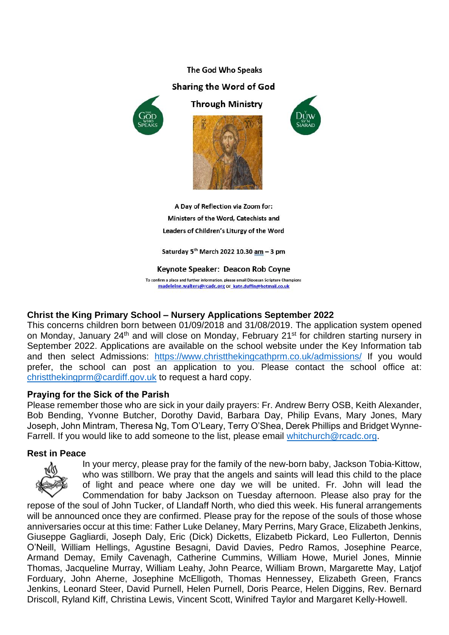## The God Who Speaks Sharing the Word of God



**Through Ministry** 





A Day of Reflection via Zoom for: Ministers of the Word, Catechists and Leaders of Children's Liturgy of the Word

Saturday 5<sup>th</sup> March 2022 10.30 <u>am</u> – 3 pm

Keynote Speaker: Deacon Rob Coyne

To confirm a place and further information, please email Diocesan Scripture Champions madeleine.walters@rcadc.org or\_kate.duffin@hotmail.co.uk

## **Christ the King Primary School – Nursery Applications September 2022**

This concerns children born between 01/09/2018 and 31/08/2019. The application system opened on Monday, January 24<sup>th</sup> and will close on Monday, February 21<sup>st</sup> for children starting nursery in September 2022. Applications are available on the school website under the Key Information tab and then select Admissions: <https://www.christthekingcathprm.co.uk/admissions/> If you would prefer, the school can post an application to you. Please contact the school office at: [christthekingprm@cardiff.gov.uk](mailto:christthekingprm@cardiff.gov.uk) to request a hard copy.

## **Praying for the Sick of the Parish**

Please remember those who are sick in your daily prayers: Fr. Andrew Berry OSB, Keith Alexander, Bob Bending, Yvonne Butcher, Dorothy David, Barbara Day, Philip Evans, Mary Jones, Mary Joseph, John Mintram, Theresa Ng, Tom O'Leary, Terry O'Shea, Derek Phillips and Bridget WynneFarrell. If you would like to add someone to the list, please email [whitchurch@rcadc.org.](mailto:whitchurch@rcadc.org)

## **Rest in Peace**



In your mercy, please pray for the family of the new-born baby, Jackson Tobia-Kittow, who was stillborn. We pray that the angels and saints will lead this child to the place of light and peace where one day we will be united. Fr. John will lead the Commendation for baby Jackson on Tuesday afternoon. Please also pray for the

repose of the soul of John Tucker, of Llandaff North, who died this week. His funeral arrangements will be announced once they are confirmed. Please pray for the repose of the souls of those whose anniversaries occur at this time: Father Luke Delaney, Mary Perrins, Mary Grace, Elizabeth Jenkins, Giuseppe Gagliardi, Joseph Daly, Eric (Dick) Dicketts, Elizabetb Pickard, Leo Fullerton, Dennis O'Neill, William Hellings, Agustine Besagni, David Davies, Pedro Ramos, Josephine Pearce, Armand Demay, Emily Cavenagh, Catherine Cummins, William Howe, Muriel Jones, Minnie Thomas, Jacqueline Murray, William Leahy, John Pearce, William Brown, Margarette May, Latjof Forduary, John Aherne, Josephine McElligoth, Thomas Hennessey, Elizabeth Green, Francs Jenkins, Leonard Steer, David Purnell, Helen Purnell, Doris Pearce, Helen Diggins, Rev. Bernard Driscoll, Ryland Kiff, Christina Lewis, Vincent Scott, Winifred Taylor and Margaret Kelly-Howell.